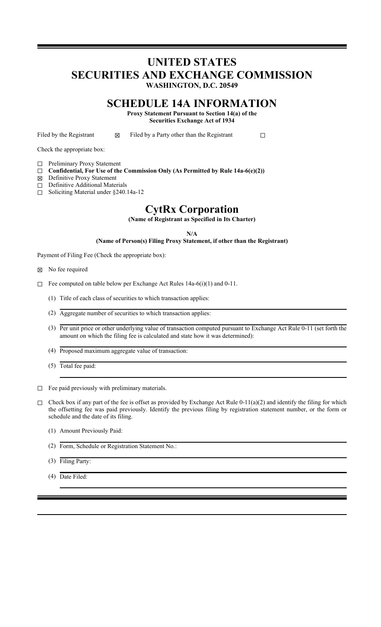# **UNITED STATES SECURITIES AND EXCHANGE COMMISSION**

**WASHINGTON, D.C. 20549**

## **SCHEDULE 14A INFORMATION**

**Proxy Statement Pursuant to Section 14(a) of the Securities Exchange Act of 1934**

Filed by the Registrant  $□$  Filed by a Party other than the Registrant  $□$ 

Check the appropriate box:

- ☐ Preliminary Proxy Statement
- ☐ **Confidential, For Use of the Commission Only (As Permitted by Rule 14a-6(e)(2))**
- ☒ Definitive Proxy Statement
- ☐ Definitive Additional Materials
- ☐ Soliciting Material under §240.14a-12

## **CytRx Corporation**

**(Name of Registrant as Specified in Its Charter)**

**N/A**

**(Name of Person(s) Filing Proxy Statement, if other than the Registrant)**

Payment of Filing Fee (Check the appropriate box):

☒ No fee required

☐ Fee computed on table below per Exchange Act Rules 14a-6(i)(1) and 0-11.

- (1) Title of each class of securities to which transaction applies:
- (2) Aggregate number of securities to which transaction applies:
- (3) Per unit price or other underlying value of transaction computed pursuant to Exchange Act Rule 0-11 (set forth the amount on which the filing fee is calculated and state how it was determined):
- (4) Proposed maximum aggregate value of transaction:
- (5) Total fee paid:

 $□$  Fee paid previously with preliminary materials.

- $\Box$  Check box if any part of the fee is offset as provided by Exchange Act Rule 0-11(a)(2) and identify the filing for which the offsetting fee was paid previously. Identify the previous filing by registration statement number, or the form or schedule and the date of its filing.
	- (1) Amount Previously Paid:
	- (2) Form, Schedule or Registration Statement No.:
	- (3) Filing Party:
	- (4) Date Filed: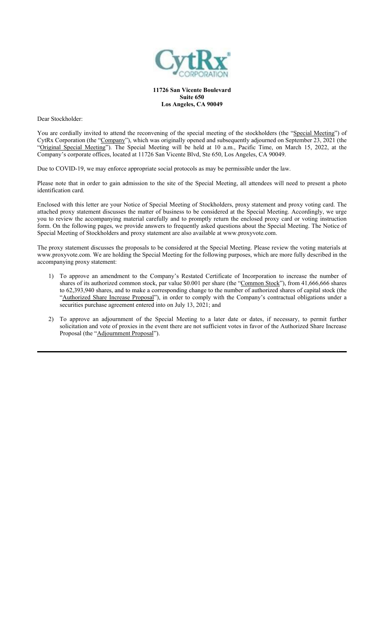

**11726 San Vicente Boulevard Suite 650 Los Angeles, CA 90049**

Dear Stockholder:

You are cordially invited to attend the reconvening of the special meeting of the stockholders (the "Special Meeting") of CytRx Corporation (the "Company"), which was originally opened and subsequently adjourned on September 23, 2021 (the "Original Special Meeting"). The Special Meeting will be held at 10 a.m., Pacific Time, on March 15, 2022, at the Company's corporate offices, located at 11726 San Vicente Blvd, Ste 650, Los Angeles, CA 90049.

Due to COVID-19, we may enforce appropriate social protocols as may be permissible under the law.

Please note that in order to gain admission to the site of the Special Meeting, all attendees will need to present a photo identification card.

Enclosed with this letter are your Notice of Special Meeting of Stockholders, proxy statement and proxy voting card. The attached proxy statement discusses the matter of business to be considered at the Special Meeting. Accordingly, we urge you to review the accompanying material carefully and to promptly return the enclosed proxy card or voting instruction form. On the following pages, we provide answers to frequently asked questions about the Special Meeting. The Notice of Special Meeting of Stockholders and proxy statement are also available at www.proxyvote.com.

The proxy statement discusses the proposals to be considered at the Special Meeting. Please review the voting materials at www.proxyvote.com. We are holding the Special Meeting for the following purposes, which are more fully described in the accompanying proxy statement:

- 1) To approve an amendment to the Company's Restated Certificate of Incorporation to increase the number of shares of its authorized common stock, par value \$0.001 per share (the "Common Stock"), from 41,666,666 shares to 62,393,940 shares, and to make a corresponding change to the number of authorized shares of capital stock (the "Authorized Share Increase Proposal"), in order to comply with the Company's contractual obligations under a securities purchase agreement entered into on July 13, 2021; and
- 2) To approve an adjournment of the Special Meeting to a later date or dates, if necessary, to permit further solicitation and vote of proxies in the event there are not sufficient votes in favor of the Authorized Share Increase Proposal (the "Adjournment Proposal").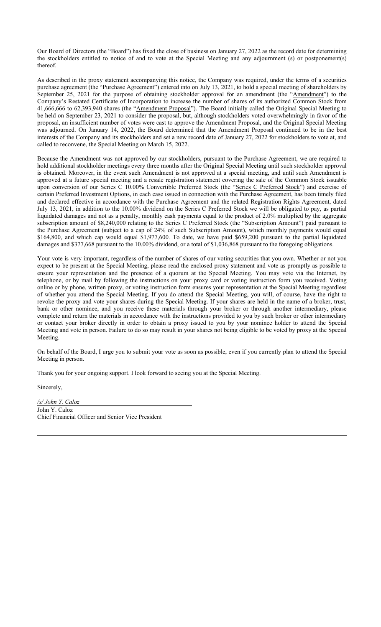Our Board of Directors (the "Board") has fixed the close of business on January 27, 2022 as the record date for determining the stockholders entitled to notice of and to vote at the Special Meeting and any adjournment (s) or postponement(s) thereof.

As described in the proxy statement accompanying this notice, the Company was required, under the terms of a securities purchase agreement (the "Purchase Agreement") entered into on July 13, 2021, to hold a special meeting of shareholders by September 25, 2021 for the purpose of obtaining stockholder approval for an amendment (the "Amendment") to the Company's Restated Certificate of Incorporation to increase the number of shares of its authorized Common Stock from 41,666,666 to 62,393,940 shares (the "Amendment Proposal"). The Board initially called the Original Special Meeting to be held on September 23, 2021 to consider the proposal, but, although stockholders voted overwhelmingly in favor of the proposal, an insufficient number of votes were cast to approve the Amendment Proposal, and the Original Special Meeting was adjourned. On January 14, 2022, the Board determined that the Amendment Proposal continued to be in the best interests of the Company and its stockholders and set a new record date of January 27, 2022 for stockholders to vote at, and called to reconvene, the Special Meeting on March 15, 2022.

Because the Amendment was not approved by our stockholders, pursuant to the Purchase Agreement, we are required to hold additional stockholder meetings every three months after the Original Special Meeting until such stockholder approval is obtained. Moreover, in the event such Amendment is not approved at a special meeting, and until such Amendment is approved at a future special meeting and a resale registration statement covering the sale of the Common Stock issuable upon conversion of our Series C 10.00% Convertible Preferred Stock (the "Series C Preferred Stock") and exercise of certain Preferred Investment Options, in each case issued in connection with the Purchase Agreement, has been timely filed and declared effective in accordance with the Purchase Agreement and the related Registration Rights Agreement, dated July 13, 2021, in addition to the 10.00% dividend on the Series C Preferred Stock we will be obligated to pay, as partial liquidated damages and not as a penalty, monthly cash payments equal to the product of 2.0% multiplied by the aggregate subscription amount of \$8,240,000 relating to the Series C Preferred Stock (the "Subscription Amount") paid pursuant to the Purchase Agreement (subject to a cap of 24% of such Subscription Amount), which monthly payments would equal \$164,800, and which cap would equal \$1,977,600. To date, we have paid \$659,200 pursuant to the partial liquidated damages and \$377,668 pursuant to the 10.00% dividend, or a total of \$1,036,868 pursuant to the foregoing obligations.

Your vote is very important, regardless of the number of shares of our voting securities that you own. Whether or not you expect to be present at the Special Meeting, please read the enclosed proxy statement and vote as promptly as possible to ensure your representation and the presence of a quorum at the Special Meeting. You may vote via the Internet, by telephone, or by mail by following the instructions on your proxy card or voting instruction form you received. Voting online or by phone, written proxy, or voting instruction form ensures your representation at the Special Meeting regardless of whether you attend the Special Meeting. If you do attend the Special Meeting, you will, of course, have the right to revoke the proxy and vote your shares during the Special Meeting. If your shares are held in the name of a broker, trust, bank or other nominee, and you receive these materials through your broker or through another intermediary, please complete and return the materials in accordance with the instructions provided to you by such broker or other intermediary or contact your broker directly in order to obtain a proxy issued to you by your nominee holder to attend the Special Meeting and vote in person. Failure to do so may result in your shares not being eligible to be voted by proxy at the Special Meeting.

On behalf of the Board, I urge you to submit your vote as soon as possible, even if you currently plan to attend the Special Meeting in person.

Thank you for your ongoing support. I look forward to seeing you at the Special Meeting.

Sincerely,

*/s/ John Y. Caloz* John Y. Caloz Chief Financial Officer and Senior Vice President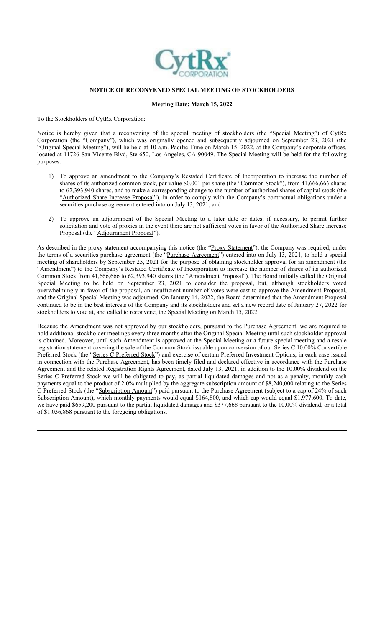

### **NOTICE OF RECONVENED SPECIAL MEETING OF STOCKHOLDERS**

#### **Meeting Date: March 15, 2022**

To the Stockholders of CytRx Corporation:

Notice is hereby given that a reconvening of the special meeting of stockholders (the "Special Meeting") of CytRx Corporation (the "Company"), which was originally opened and subsequently adjourned on September 23, 2021 (the "Original Special Meeting"), will be held at 10 a.m. Pacific Time on March 15, 2022, at the Company's corporate offices, located at 11726 San Vicente Blvd, Ste 650, Los Angeles, CA 90049. The Special Meeting will be held for the following purposes:

- 1) To approve an amendment to the Company's Restated Certificate of Incorporation to increase the number of shares of its authorized common stock, par value \$0.001 per share (the "Common Stock"), from 41,666,666 shares to 62,393,940 shares, and to make a corresponding change to the number of authorized shares of capital stock (the "Authorized Share Increase Proposal"), in order to comply with the Company's contractual obligations under a securities purchase agreement entered into on July 13, 2021; and
- 2) To approve an adjournment of the Special Meeting to a later date or dates, if necessary, to permit further solicitation and vote of proxies in the event there are not sufficient votes in favor of the Authorized Share Increase Proposal (the "Adjournment Proposal").

As described in the proxy statement accompanying this notice (the "Proxy Statement"), the Company was required, under the terms of a securities purchase agreement (the "Purchase Agreement") entered into on July 13, 2021, to hold a special meeting of shareholders by September 25, 2021 for the purpose of obtaining stockholder approval for an amendment (the "Amendment") to the Company's Restated Certificate of Incorporation to increase the number of shares of its authorized Common Stock from 41,666,666 to 62,393,940 shares (the "Amendment Proposal"). The Board initially called the Original Special Meeting to be held on September 23, 2021 to consider the proposal, but, although stockholders voted overwhelmingly in favor of the proposal, an insufficient number of votes were cast to approve the Amendment Proposal, and the Original Special Meeting was adjourned. On January 14, 2022, the Board determined that the Amendment Proposal continued to be in the best interests of the Company and its stockholders and set a new record date of January 27, 2022 for stockholders to vote at, and called to reconvene, the Special Meeting on March 15, 2022.

Because the Amendment was not approved by our stockholders, pursuant to the Purchase Agreement, we are required to hold additional stockholder meetings every three months after the Original Special Meeting until such stockholder approval is obtained. Moreover, until such Amendment is approved at the Special Meeting or a future special meeting and a resale registration statement covering the sale of the Common Stock issuable upon conversion of our Series C 10.00% Convertible Preferred Stock (the "Series C Preferred Stock") and exercise of certain Preferred Investment Options, in each case issued in connection with the Purchase Agreement, has been timely filed and declared effective in accordance with the Purchase Agreement and the related Registration Rights Agreement, dated July 13, 2021, in addition to the 10.00% dividend on the Series C Preferred Stock we will be obligated to pay, as partial liquidated damages and not as a penalty, monthly cash payments equal to the product of 2.0% multiplied by the aggregate subscription amount of \$8,240,000 relating to the Series C Preferred Stock (the "Subscription Amount") paid pursuant to the Purchase Agreement (subject to a cap of 24% of such Subscription Amount), which monthly payments would equal \$164,800, and which cap would equal \$1,977,600. To date, we have paid \$659,200 pursuant to the partial liquidated damages and \$377,668 pursuant to the 10.00% dividend, or a total of \$1,036,868 pursuant to the foregoing obligations.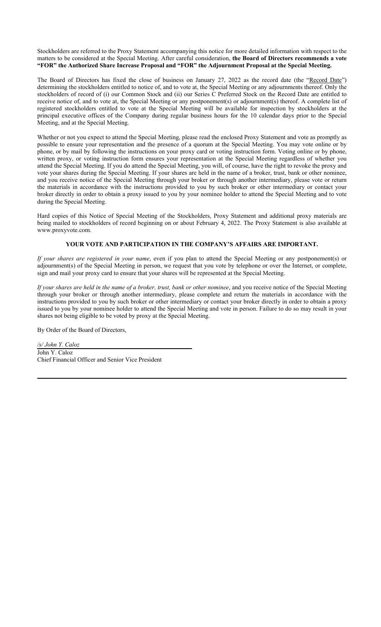Stockholders are referred to the Proxy Statement accompanying this notice for more detailed information with respect to the matters to be considered at the Special Meeting. After careful consideration, **the Board of Directors recommends a vote "FOR" the Authorized Share Increase Proposal and "FOR" the Adjournment Proposal at the Special Meeting.**

The Board of Directors has fixed the close of business on January 27, 2022 as the record date (the "Record Date") determining the stockholders entitled to notice of, and to vote at, the Special Meeting or any adjournments thereof. Only the stockholders of record of (i) our Common Stock and (ii) our Series C Preferred Stock on the Record Date are entitled to receive notice of, and to vote at, the Special Meeting or any postponement(s) or adjournment(s) thereof. A complete list of registered stockholders entitled to vote at the Special Meeting will be available for inspection by stockholders at the principal executive offices of the Company during regular business hours for the 10 calendar days prior to the Special Meeting, and at the Special Meeting.

Whether or not you expect to attend the Special Meeting, please read the enclosed Proxy Statement and vote as promptly as possible to ensure your representation and the presence of a quorum at the Special Meeting. You may vote online or by phone, or by mail by following the instructions on your proxy card or voting instruction form. Voting online or by phone, written proxy, or voting instruction form ensures your representation at the Special Meeting regardless of whether you attend the Special Meeting. If you do attend the Special Meeting, you will, of course, have the right to revoke the proxy and vote your shares during the Special Meeting. If your shares are held in the name of a broker, trust, bank or other nominee, and you receive notice of the Special Meeting through your broker or through another intermediary, please vote or return the materials in accordance with the instructions provided to you by such broker or other intermediary or contact your broker directly in order to obtain a proxy issued to you by your nominee holder to attend the Special Meeting and to vote during the Special Meeting.

Hard copies of this Notice of Special Meeting of the Stockholders, Proxy Statement and additional proxy materials are being mailed to stockholders of record beginning on or about February 4, 2022. The Proxy Statement is also available at www.proxyvote.com.

#### **YOUR VOTE AND PARTICIPATION IN THE COMPANY'S AFFAIRS ARE IMPORTANT.**

*If your shares are registered in your name*, even if you plan to attend the Special Meeting or any postponement(s) or adjournment(s) of the Special Meeting in person, we request that you vote by telephone or over the Internet, or complete, sign and mail your proxy card to ensure that your shares will be represented at the Special Meeting.

*If your shares are held in the name of a broker, trust, bank or other nominee*, and you receive notice of the Special Meeting through your broker or through another intermediary, please complete and return the materials in accordance with the instructions provided to you by such broker or other intermediary or contact your broker directly in order to obtain a proxy issued to you by your nominee holder to attend the Special Meeting and vote in person. Failure to do so may result in your shares not being eligible to be voted by proxy at the Special Meeting.

By Order of the Board of Directors,

*/s/ John Y. Caloz* John Y. Caloz Chief Financial Officer and Senior Vice President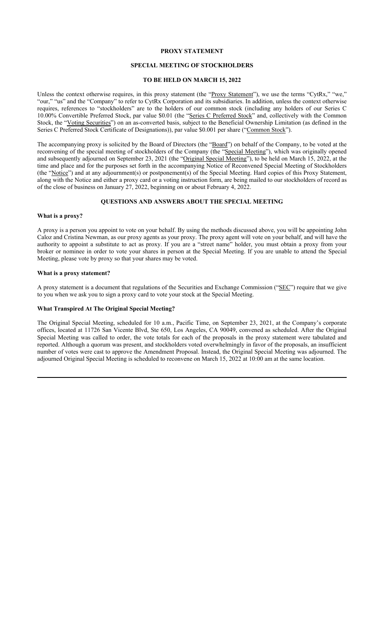#### **PROXY STATEMENT**

#### **SPECIAL MEETING OF STOCKHOLDERS**

#### **TO BE HELD ON MARCH 15, 2022**

Unless the context otherwise requires, in this proxy statement (the "Proxy Statement"), we use the terms "CytRx," "we," "our," "us" and the "Company" to refer to CytRx Corporation and its subsidiaries. In addition, unless the context otherwise requires, references to "stockholders" are to the holders of our common stock (including any holders of our Series C 10.00% Convertible Preferred Stock, par value \$0.01 (the "Series C Preferred Stock" and, collectively with the Common Stock, the "Voting Securities") on an as-converted basis, subject to the Beneficial Ownership Limitation (as defined in the Series C Preferred Stock Certificate of Designations)), par value \$0.001 per share ("Common Stock").

The accompanying proxy is solicited by the Board of Directors (the "Board") on behalf of the Company, to be voted at the reconvening of the special meeting of stockholders of the Company (the "Special Meeting"), which was originally opened and subsequently adjourned on September 23, 2021 (the "Original Special Meeting"), to be held on March 15, 2022, at the time and place and for the purposes set forth in the accompanying Notice of Reconvened Special Meeting of Stockholders (the "Notice") and at any adjournment(s) or postponement(s) of the Special Meeting. Hard copies of this Proxy Statement, along with the Notice and either a proxy card or a voting instruction form, are being mailed to our stockholders of record as of the close of business on January 27, 2022, beginning on or about February 4, 2022.

#### **QUESTIONS AND ANSWERS ABOUT THE SPECIAL MEETING**

#### **What is a proxy?**

A proxy is a person you appoint to vote on your behalf. By using the methods discussed above, you will be appointing John Caloz and Cristina Newman, as our proxy agents as your proxy. The proxy agent will vote on your behalf, and will have the authority to appoint a substitute to act as proxy. If you are a "street name" holder, you must obtain a proxy from your broker or nominee in order to vote your shares in person at the Special Meeting. If you are unable to attend the Special Meeting, please vote by proxy so that your shares may be voted.

#### **What is a proxy statement?**

A proxy statement is a document that regulations of the Securities and Exchange Commission ("SEC") require that we give to you when we ask you to sign a proxy card to vote your stock at the Special Meeting.

#### **What Transpired At The Original Special Meeting?**

The Original Special Meeting, scheduled for 10 a.m., Pacific Time, on September 23, 2021, at the Company's corporate offices, located at 11726 San Vicente Blvd, Ste 650, Los Angeles, CA 90049, convened as scheduled. After the Original Special Meeting was called to order, the vote totals for each of the proposals in the proxy statement were tabulated and reported. Although a quorum was present, and stockholders voted overwhelmingly in favor of the proposals, an insufficient number of votes were cast to approve the Amendment Proposal. Instead, the Original Special Meeting was adjourned. The adjourned Original Special Meeting is scheduled to reconvene on March 15, 2022 at 10:00 am at the same location.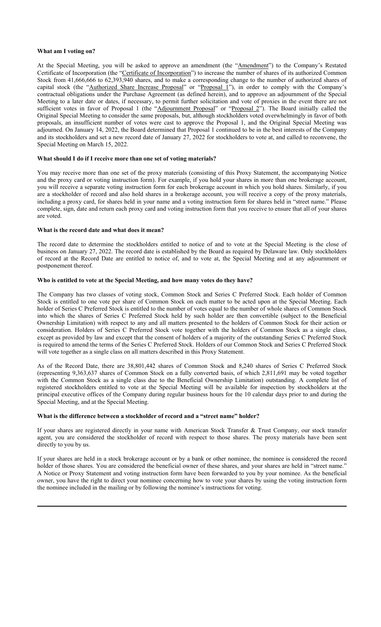#### **What am I voting on?**

At the Special Meeting, you will be asked to approve an amendment (the "Amendment") to the Company's Restated Certificate of Incorporation (the "Certificate of Incorporation") to increase the number of shares of its authorized Common Stock from 41,666,666 to 62,393,940 shares, and to make a corresponding change to the number of authorized shares of capital stock (the "Authorized Share Increase Proposal" or "Proposal 1"), in order to comply with the Company's contractual obligations under the Purchase Agreement (as defined herein), and to approve an adjournment of the Special Meeting to a later date or dates, if necessary, to permit further solicitation and vote of proxies in the event there are not sufficient votes in favor of Proposal 1 (the "Adjournment Proposal" or "Proposal 2"). The Board initially called the Original Special Meeting to consider the same proposals, but, although stockholders voted overwhelmingly in favor of both proposals, an insufficient number of votes were cast to approve the Proposal 1, and the Original Special Meeting was adjourned. On January 14, 2022, the Board determined that Proposal 1 continued to be in the best interests of the Company and its stockholders and set a new record date of January 27, 2022 for stockholders to vote at, and called to reconvene, the Special Meeting on March 15, 2022.

#### **What should I do if I receive more than one set of voting materials?**

You may receive more than one set of the proxy materials (consisting of this Proxy Statement, the accompanying Notice and the proxy card or voting instruction form). For example, if you hold your shares in more than one brokerage account, you will receive a separate voting instruction form for each brokerage account in which you hold shares. Similarly, if you are a stockholder of record and also hold shares in a brokerage account, you will receive a copy of the proxy materials, including a proxy card, for shares held in your name and a voting instruction form for shares held in "street name." Please complete, sign, date and return each proxy card and voting instruction form that you receive to ensure that all of your shares are voted.

#### **What is the record date and what does it mean?**

The record date to determine the stockholders entitled to notice of and to vote at the Special Meeting is the close of business on January 27, 2022. The record date is established by the Board as required by Delaware law. Only stockholders of record at the Record Date are entitled to notice of, and to vote at, the Special Meeting and at any adjournment or postponement thereof.

#### **Who is entitled to vote at the Special Meeting, and how many votes do they have?**

The Company has two classes of voting stock, Common Stock and Series C Preferred Stock. Each holder of Common Stock is entitled to one vote per share of Common Stock on each matter to be acted upon at the Special Meeting. Each holder of Series C Preferred Stock is entitled to the number of votes equal to the number of whole shares of Common Stock into which the shares of Series C Preferred Stock held by such holder are then convertible (subject to the Beneficial Ownership Limitation) with respect to any and all matters presented to the holders of Common Stock for their action or consideration. Holders of Series C Preferred Stock vote together with the holders of Common Stock as a single class, except as provided by law and except that the consent of holders of a majority of the outstanding Series C Preferred Stock is required to amend the terms of the Series C Preferred Stock. Holders of our Common Stock and Series C Preferred Stock will vote together as a single class on all matters described in this Proxy Statement.

As of the Record Date, there are 38,801,442 shares of Common Stock and 8,240 shares of Series C Preferred Stock (representing 9,363,637 shares of Common Stock on a fully converted basis, of which 2,811,691 may be voted together with the Common Stock as a single class due to the Beneficial Ownership Limitation) outstanding. A complete list of registered stockholders entitled to vote at the Special Meeting will be available for inspection by stockholders at the principal executive offices of the Company during regular business hours for the 10 calendar days prior to and during the Special Meeting, and at the Special Meeting.

#### **What is the difference between a stockholder of record and a "street name" holder?**

If your shares are registered directly in your name with American Stock Transfer & Trust Company, our stock transfer agent, you are considered the stockholder of record with respect to those shares. The proxy materials have been sent directly to you by us.

If your shares are held in a stock brokerage account or by a bank or other nominee, the nominee is considered the record holder of those shares. You are considered the beneficial owner of these shares, and your shares are held in "street name." A Notice or Proxy Statement and voting instruction form have been forwarded to you by your nominee. As the beneficial owner, you have the right to direct your nominee concerning how to vote your shares by using the voting instruction form the nominee included in the mailing or by following the nominee's instructions for voting.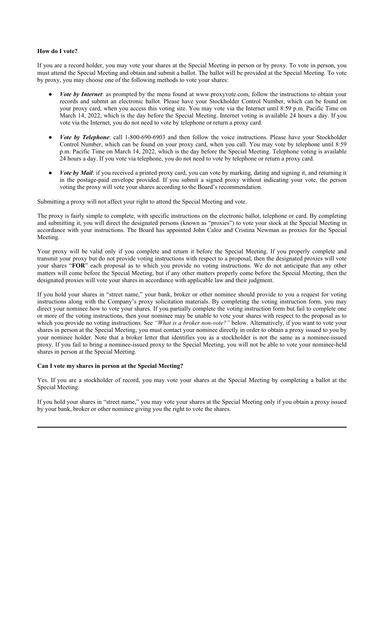#### **How do I vote?**

If you are a record holder, you may vote your shares at the Special Meeting in person or by proxy. To vote in person, you must attend the Special Meeting and obtain and submit a ballot. The ballot will be provided at the Special Meeting. To vote by proxy, you may choose one of the following methods to vote your shares:

- *Vote by Internet*: as prompted by the menu found at www.proxyvote.com, follow the instructions to obtain your records and submit an electronic ballot. Please have your Stockholder Control Number, which can be found on your proxy card, when you access this voting site. You may vote via the Internet until 8:59 p.m. Pacific Time on March 14, 2022, which is the day before the Special Meeting. Internet voting is available 24 hours a day. If you vote via the Internet, you do not need to vote by telephone or return a proxy card.
- *Vote by Telephone*: call 1-800-690-6903 and then follow the voice instructions. Please have your Stockholder Control Number, which can be found on your proxy card, when you call. You may vote by telephone until 8:59 p.m. Pacific Time on March 14, 2022, which is the day before the Special Meeting. Telephone voting is available 24 hours a day. If you vote via telephone, you do not need to vote by telephone or return a proxy card.
- Vote by Mail: if you received a printed proxy card, you can vote by marking, dating and signing it, and returning it in the postage-paid envelope provided. If you submit a signed proxy without indicating your vote, the person voting the proxy will vote your shares according to the Board's recommendation.

Submitting a proxy will not affect your right to attend the Special Meeting and vote.

The proxy is fairly simple to complete, with specific instructions on the electronic ballot, telephone or card. By completing and submitting it, you will direct the designated persons (known as "proxies") to vote your stock at the Special Meeting in accordance with your instructions. The Board has appointed John Caloz and Cristina Newman as proxies for the Special Meeting.

Your proxy will be valid only if you complete and return it before the Special Meeting. If you properly complete and transmit your proxy but do not provide voting instructions with respect to a proposal, then the designated proxies will vote your shares "**FOR**" each proposal as to which you provide no voting instructions. We do not anticipate that any other matters will come before the Special Meeting, but if any other matters properly come before the Special Meeting, then the designated proxies will vote your shares in accordance with applicable law and their judgment.

If you hold your shares in "street name," your bank, broker or other nominee should provide to you a request for voting instructions along with the Company's proxy solicitation materials. By completing the voting instruction form, you may direct your nominee how to vote your shares. If you partially complete the voting instruction form but fail to complete one or more of the voting instructions, then your nominee may be unable to vote your shares with respect to the proposal as to which you provide no voting instructions. See *"What is a broker non-vote?"* below. Alternatively, if you want to vote your shares in person at the Special Meeting, you must contact your nominee directly in order to obtain a proxy issued to you by your nominee holder. Note that a broker letter that identifies you as a stockholder is not the same as a nominee-issued proxy. If you fail to bring a nominee-issued proxy to the Special Meeting, you will not be able to vote your nominee-held shares in person at the Special Meeting.

#### **Can I vote my shares in person at the Special Meeting?**

Yes. If you are a stockholder of record, you may vote your shares at the Special Meeting by completing a ballot at the Special Meeting.

If you hold your shares in "street name," you may vote your shares at the Special Meeting only if you obtain a proxy issued by your bank, broker or other nominee giving you the right to vote the shares.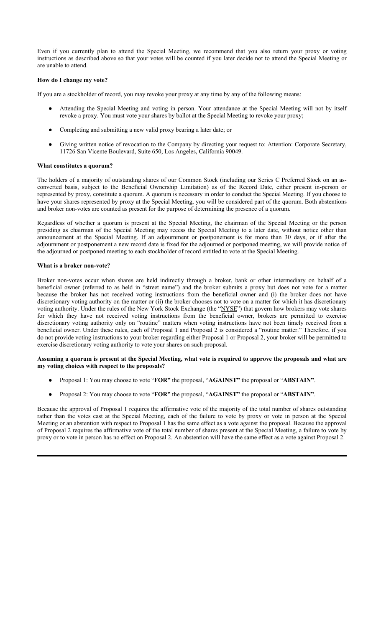Even if you currently plan to attend the Special Meeting, we recommend that you also return your proxy or voting instructions as described above so that your votes will be counted if you later decide not to attend the Special Meeting or are unable to attend.

#### **How do I change my vote?**

If you are a stockholder of record, you may revoke your proxy at any time by any of the following means:

- Attending the Special Meeting and voting in person. Your attendance at the Special Meeting will not by itself revoke a proxy. You must vote your shares by ballot at the Special Meeting to revoke your proxy;
- Completing and submitting a new valid proxy bearing a later date; or
- Giving written notice of revocation to the Company by directing your request to: Attention: Corporate Secretary, 11726 San Vicente Boulevard, Suite 650, Los Angeles, California 90049.

#### **What constitutes a quorum?**

The holders of a majority of outstanding shares of our Common Stock (including our Series C Preferred Stock on an asconverted basis, subject to the Beneficial Ownership Limitation) as of the Record Date, either present in-person or represented by proxy, constitute a quorum. A quorum is necessary in order to conduct the Special Meeting. If you choose to have your shares represented by proxy at the Special Meeting, you will be considered part of the quorum. Both abstentions and broker non-votes are counted as present for the purpose of determining the presence of a quorum.

Regardless of whether a quorum is present at the Special Meeting, the chairman of the Special Meeting or the person presiding as chairman of the Special Meeting may recess the Special Meeting to a later date, without notice other than announcement at the Special Meeting. If an adjournment or postponement is for more than 30 days, or if after the adjournment or postponement a new record date is fixed for the adjourned or postponed meeting, we will provide notice of the adjourned or postponed meeting to each stockholder of record entitled to vote at the Special Meeting.

#### **What is a broker non-vote?**

Broker non-votes occur when shares are held indirectly through a broker, bank or other intermediary on behalf of a beneficial owner (referred to as held in "street name") and the broker submits a proxy but does not vote for a matter because the broker has not received voting instructions from the beneficial owner and (i) the broker does not have discretionary voting authority on the matter or (ii) the broker chooses not to vote on a matter for which it has discretionary voting authority. Under the rules of the New York Stock Exchange (the "NYSE") that govern how brokers may vote shares for which they have not received voting instructions from the beneficial owner, brokers are permitted to exercise discretionary voting authority only on "routine" matters when voting instructions have not been timely received from a beneficial owner. Under these rules, each of Proposal 1 and Proposal 2 is considered a "routine matter." Therefore, if you do not provide voting instructions to your broker regarding either Proposal 1 or Proposal 2, your broker will be permitted to exercise discretionary voting authority to vote your shares on such proposal.

#### **Assuming a quorum is present at the Special Meeting, what vote is required to approve the proposals and what are my voting choices with respect to the proposals?**

- Proposal 1: You may choose to vote "**FOR"** the proposal, "**AGAINST"** the proposal or "**ABSTAIN"**.
- Proposal 2: You may choose to vote "**FOR"** the proposal, "**AGAINST"** the proposal or "**ABSTAIN"**.

Because the approval of Proposal 1 requires the affirmative vote of the majority of the total number of shares outstanding rather than the votes cast at the Special Meeting, each of the failure to vote by proxy or vote in person at the Special Meeting or an abstention with respect to Proposal 1 has the same effect as a vote against the proposal. Because the approval of Proposal 2 requires the affirmative vote of the total number of shares present at the Special Meeting, a failure to vote by proxy or to vote in person has no effect on Proposal 2. An abstention will have the same effect as a vote against Proposal 2.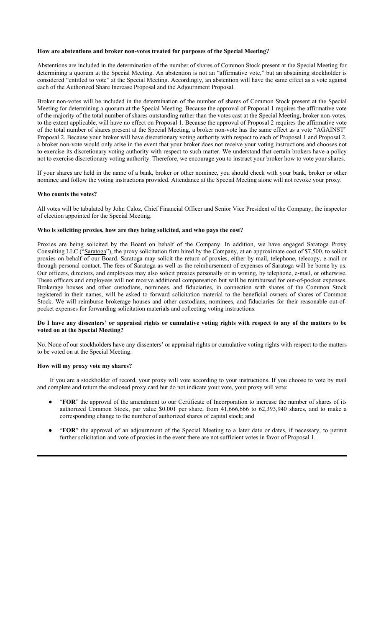#### **How are abstentions and broker non-votes treated for purposes of the Special Meeting?**

Abstentions are included in the determination of the number of shares of Common Stock present at the Special Meeting for determining a quorum at the Special Meeting. An abstention is not an "affirmative vote," but an abstaining stockholder is considered "entitled to vote" at the Special Meeting. Accordingly, an abstention will have the same effect as a vote against each of the Authorized Share Increase Proposal and the Adjournment Proposal.

Broker non-votes will be included in the determination of the number of shares of Common Stock present at the Special Meeting for determining a quorum at the Special Meeting. Because the approval of Proposal 1 requires the affirmative vote of the majority of the total number of shares outstanding rather than the votes cast at the Special Meeting, broker non-votes, to the extent applicable, will have no effect on Proposal 1. Because the approval of Proposal 2 requires the affirmative vote of the total number of shares present at the Special Meeting, a broker non-vote has the same effect as a vote "AGAINST" Proposal 2. Because your broker will have discretionary voting authority with respect to each of Proposal 1 and Proposal 2, a broker non-vote would only arise in the event that your broker does not receive your voting instructions and chooses not to exercise its discretionary voting authority with respect to such matter. We understand that certain brokers have a policy not to exercise discretionary voting authority. Therefore, we encourage you to instruct your broker how to vote your shares.

If your shares are held in the name of a bank, broker or other nominee, you should check with your bank, broker or other nominee and follow the voting instructions provided. Attendance at the Special Meeting alone will not revoke your proxy.

#### **Who counts the votes?**

All votes will be tabulated by John Caloz, Chief Financial Officer and Senior Vice President of the Company, the inspector of election appointed for the Special Meeting.

#### **Who is soliciting proxies, how are they being solicited, and who pays the cost?**

Proxies are being solicited by the Board on behalf of the Company. In addition, we have engaged Saratoga Proxy Consulting LLC ("Saratoga"), the proxy solicitation firm hired by the Company, at an approximate cost of \$7,500, to solicit proxies on behalf of our Board. Saratoga may solicit the return of proxies, either by mail, telephone, telecopy, e-mail or through personal contact. The fees of Saratoga as well as the reimbursement of expenses of Saratoga will be borne by us. Our officers, directors, and employees may also solicit proxies personally or in writing, by telephone, e-mail, or otherwise. These officers and employees will not receive additional compensation but will be reimbursed for out-of-pocket expenses. Brokerage houses and other custodians, nominees, and fiduciaries, in connection with shares of the Common Stock registered in their names, will be asked to forward solicitation material to the beneficial owners of shares of Common Stock. We will reimburse brokerage houses and other custodians, nominees, and fiduciaries for their reasonable out-ofpocket expenses for forwarding solicitation materials and collecting voting instructions.

#### **Do I have any dissenters' or appraisal rights or cumulative voting rights with respect to any of the matters to be voted on at the Special Meeting?**

No. None of our stockholders have any dissenters' or appraisal rights or cumulative voting rights with respect to the matters to be voted on at the Special Meeting.

#### **How will my proxy vote my shares?**

If you are a stockholder of record, your proxy will vote according to your instructions. If you choose to vote by mail and complete and return the enclosed proxy card but do not indicate your vote, your proxy will vote:

- "FOR" the approval of the amendment to our Certificate of Incorporation to increase the number of shares of its authorized Common Stock, par value \$0.001 per share, from 41,666,666 to 62,393,940 shares, and to make a corresponding change to the number of authorized shares of capital stock; and
- "**FOR**" the approval of an adjournment of the Special Meeting to a later date or dates, if necessary, to permit further solicitation and vote of proxies in the event there are not sufficient votes in favor of Proposal 1.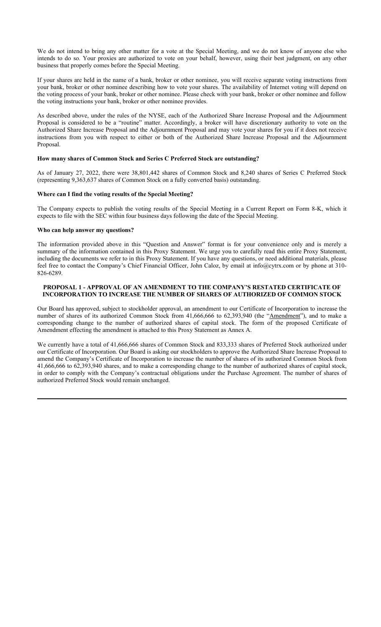We do not intend to bring any other matter for a vote at the Special Meeting, and we do not know of anyone else who intends to do so. Your proxies are authorized to vote on your behalf, however, using their best judgment, on any other business that properly comes before the Special Meeting.

If your shares are held in the name of a bank, broker or other nominee, you will receive separate voting instructions from your bank, broker or other nominee describing how to vote your shares. The availability of Internet voting will depend on the voting process of your bank, broker or other nominee. Please check with your bank, broker or other nominee and follow the voting instructions your bank, broker or other nominee provides.

As described above, under the rules of the NYSE, each of the Authorized Share Increase Proposal and the Adjournment Proposal is considered to be a "routine" matter. Accordingly, a broker will have discretionary authority to vote on the Authorized Share Increase Proposal and the Adjournment Proposal and may vote your shares for you if it does not receive instructions from you with respect to either or both of the Authorized Share Increase Proposal and the Adjournment Proposal.

#### **How many shares of Common Stock and Series C Preferred Stock are outstanding?**

As of January 27, 2022, there were 38,801,442 shares of Common Stock and 8,240 shares of Series C Preferred Stock (representing 9,363,637 shares of Common Stock on a fully converted basis) outstanding.

#### **Where can I find the voting results of the Special Meeting?**

The Company expects to publish the voting results of the Special Meeting in a Current Report on Form 8-K, which it expects to file with the SEC within four business days following the date of the Special Meeting.

#### **Who can help answer my questions?**

The information provided above in this "Question and Answer" format is for your convenience only and is merely a summary of the information contained in this Proxy Statement. We urge you to carefully read this entire Proxy Statement, including the documents we refer to in this Proxy Statement. If you have any questions, or need additional materials, please feel free to contact the Company's Chief Financial Officer, John Caloz, by email at info@cytrx.com or by phone at 310- 826-6289.

#### **PROPOSAL 1 - APPROVAL OF AN AMENDMENT TO THE COMPANY'S RESTATED CERTIFICATE OF INCORPORATION TO INCREASE THE NUMBER OF SHARES OF AUTHORIZED OF COMMON STOCK**

Our Board has approved, subject to stockholder approval, an amendment to our Certificate of Incorporation to increase the number of shares of its authorized Common Stock from 41,666,666 to 62,393,940 (the "Amendment"), and to make a corresponding change to the number of authorized shares of capital stock. The form of the proposed Certificate of Amendment effecting the amendment is attached to this Proxy Statement as Annex A.

We currently have a total of 41,666,666 shares of Common Stock and 833,333 shares of Preferred Stock authorized under our Certificate of Incorporation. Our Board is asking our stockholders to approve the Authorized Share Increase Proposal to amend the Company's Certificate of Incorporation to increase the number of shares of its authorized Common Stock from 41,666,666 to 62,393,940 shares, and to make a corresponding change to the number of authorized shares of capital stock, in order to comply with the Company's contractual obligations under the Purchase Agreement. The number of shares of authorized Preferred Stock would remain unchanged.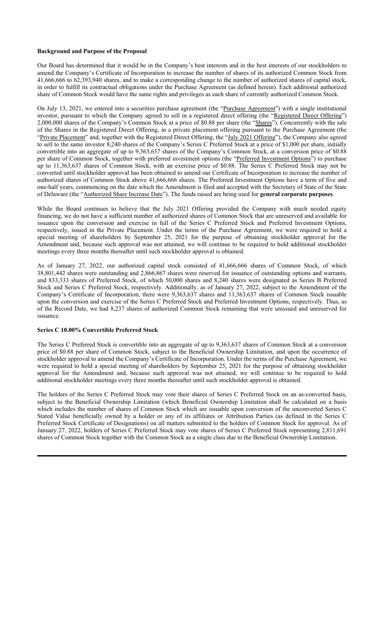#### **Background and Purpose of the Proposal**

Our Board has determined that it would be in the Company's best interests and in the best interests of our stockholders to amend the Company's Certificate of Incorporation to increase the number of shares of its authorized Common Stock from 41,666,666 to 62,393,940 shares, and to make a corresponding change to the number of authorized shares of capital stock, in order to fulfill its contractual obligations under the Purchase Agreement (as defined herein). Each additional authorized share of Common Stock would have the same rights and privileges as each share of currently authorized Common Stock.

On July 13, 2021, we entered into a securities purchase agreement (the "Purchase Agreement") with a single institutional investor, pursuant to which the Company agreed to sell in a registered direct offering (the "Registered Direct Offering") 2,000,000 shares of the Company's Common Stock at a price of \$0.88 per share (the "Shares"). Concurrently with the sale of the Shares in the Registered Direct Offering, in a private placement offering pursuant to the Purchase Agreement (the "Private Placement" and, together with the Registered Direct Offering, the "July 2021 Offering"), the Company also agreed to sell to the same investor 8,240 shares of the Company's Series C Preferred Stock at a price of \$1,000 per share, initially convertible into an aggregate of up to 9,363,637 shares of the Company's Common Stock, at a conversion price of \$0.88 per share of Common Stock, together with preferred investment options (the "Preferred Investment Options") to purchase up to 11,363,637 shares of Common Stock, with an exercise price of \$0.88. The Series C Preferred Stock may not be converted until stockholder approval has been obtained to amend our Certificate of Incorporation to increase the number of authorized shares of Common Stock above 41,666,666 shares. The Preferred Investment Options have a term of five and one-half years, commencing on the date which the Amendment is filed and accepted with the Secretary of State of the State of Delaware (the "Authorized Share Increase Date"). The funds raised are being used for **general corporate purposes**.

While the Board continues to believe that the July 2021 Offering provided the Company with much needed equity financing, we do not have a sufficient number of authorized shares of Common Stock that are unreserved and available for issuance upon the conversion and exercise in full of the Series C Preferred Stock and Preferred Investment Options, respectively, issued in the Private Placement. Under the terms of the Purchase Agreement, we were required to hold a special meeting of shareholders by September 25, 2021 for the purpose of obtaining stockholder approval for the Amendment and, because such approval was not attained, we will continue to be required to hold additional stockholder meetings every three months thereafter until such stockholder approval is obtained.

As of January 27, 2022, our authorized capital stock consisted of 41,666,666 shares of Common Stock, of which 38,801,442 shares were outstanding and 2,866,867 shares were reserved for issuance of outstanding options and warrants, and 833,333 shares of Preferred Stock, of which 50,000 shares and 8,240 shares were designated as Series B Preferred Stock and Series C Preferred Stock, respectively. Additionally, as of January 27, 2022, subject to the Amendment of the Company's Certificate of Incorporation, there were 9,363,637 shares and 11,363,637 shares of Common Stock issuable upon the conversion and exercise of the Series C Preferred Stock and Preferred Investment Options, respectively. Thus, as of the Record Date, we had 8,237 shares of authorized Common Stock remaining that were unissued and unreserved for issuance.

#### **Series C 10.00% Convertible Preferred Stock**

The Series C Preferred Stock is convertible into an aggregate of up to 9,363,637 shares of Common Stock at a conversion price of \$0.88 per share of Common Stock, subject to the Beneficial Ownership Limitation, and upon the occurrence of stockholder approval to amend the Company's Certificate of Incorporation. Under the terms of the Purchase Agreement, we were required to hold a special meeting of shareholders by September 25, 2021 for the purpose of obtaining stockholder approval for the Amendment and, because such approval was not attained, we will continue to be required to hold additional stockholder meetings every three months thereafter until such stockholder approval is obtained.

The holders of the Series C Preferred Stock may vote their shares of Series C Preferred Stock on an as-converted basis, subject to the Beneficial Ownership Limitation (which Beneficial Ownership Limitation shall be calculated on a basis which includes the number of shares of Common Stock which are issuable upon conversion of the unconverted Series C Stated Value beneficially owned by a holder or any of its affiliates or Attribution Parties (as defined in the Series C Preferred Stock Certificate of Designations) on all matters submitted to the holders of Common Stock for approval. As of January 27, 2022, holders of Series C Preferred Stock may vote shares of Series C Preferred Stock representing 2,811,691 shares of Common Stock together with the Common Stock as a single class due to the Beneficial Ownership Limitation.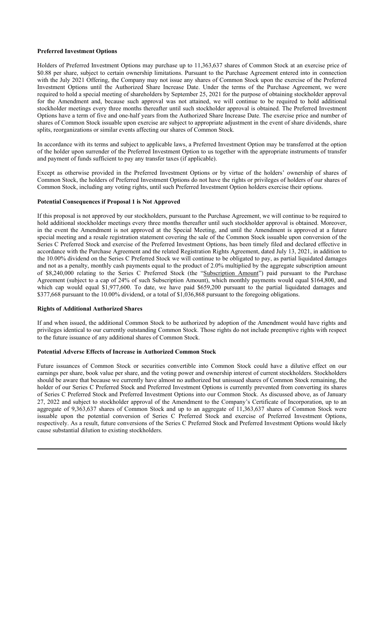#### **Preferred Investment Options**

Holders of Preferred Investment Options may purchase up to 11,363,637 shares of Common Stock at an exercise price of \$0.88 per share, subject to certain ownership limitations. Pursuant to the Purchase Agreement entered into in connection with the July 2021 Offering, the Company may not issue any shares of Common Stock upon the exercise of the Preferred Investment Options until the Authorized Share Increase Date. Under the terms of the Purchase Agreement, we were required to hold a special meeting of shareholders by September 25, 2021 for the purpose of obtaining stockholder approval for the Amendment and, because such approval was not attained, we will continue to be required to hold additional stockholder meetings every three months thereafter until such stockholder approval is obtained. The Preferred Investment Options have a term of five and one-half years from the Authorized Share Increase Date. The exercise price and number of shares of Common Stock issuable upon exercise are subject to appropriate adjustment in the event of share dividends, share splits, reorganizations or similar events affecting our shares of Common Stock.

In accordance with its terms and subject to applicable laws, a Preferred Investment Option may be transferred at the option of the holder upon surrender of the Preferred Investment Option to us together with the appropriate instruments of transfer and payment of funds sufficient to pay any transfer taxes (if applicable).

Except as otherwise provided in the Preferred Investment Options or by virtue of the holders' ownership of shares of Common Stock, the holders of Preferred Investment Options do not have the rights or privileges of holders of our shares of Common Stock, including any voting rights, until such Preferred Investment Option holders exercise their options.

#### **Potential Consequences if Proposal 1 is Not Approved**

If this proposal is not approved by our stockholders, pursuant to the Purchase Agreement, we will continue to be required to hold additional stockholder meetings every three months thereafter until such stockholder approval is obtained. Moreover, in the event the Amendment is not approved at the Special Meeting, and until the Amendment is approved at a future special meeting and a resale registration statement covering the sale of the Common Stock issuable upon conversion of the Series C Preferred Stock and exercise of the Preferred Investment Options, has been timely filed and declared effective in accordance with the Purchase Agreement and the related Registration Rights Agreement, dated July 13, 2021, in addition to the 10.00% dividend on the Series C Preferred Stock we will continue to be obligated to pay, as partial liquidated damages and not as a penalty, monthly cash payments equal to the product of 2.0% multiplied by the aggregate subscription amount of \$8,240,000 relating to the Series C Preferred Stock (the "Subscription Amount") paid pursuant to the Purchase Agreement (subject to a cap of 24% of such Subscription Amount), which monthly payments would equal \$164,800, and which cap would equal \$1,977,600. To date, we have paid \$659,200 pursuant to the partial liquidated damages and \$377,668 pursuant to the 10.00% dividend, or a total of \$1,036,868 pursuant to the foregoing obligations.

#### **Rights of Additional Authorized Shares**

If and when issued, the additional Common Stock to be authorized by adoption of the Amendment would have rights and privileges identical to our currently outstanding Common Stock. Those rights do not include preemptive rights with respect to the future issuance of any additional shares of Common Stock.

#### **Potential Adverse Effects of Increase in Authorized Common Stock**

Future issuances of Common Stock or securities convertible into Common Stock could have a dilutive effect on our earnings per share, book value per share, and the voting power and ownership interest of current stockholders. Stockholders should be aware that because we currently have almost no authorized but unissued shares of Common Stock remaining, the holder of our Series C Preferred Stock and Preferred Investment Options is currently prevented from converting its shares of Series C Preferred Stock and Preferred Investment Options into our Common Stock. As discussed above, as of January 27, 2022 and subject to stockholder approval of the Amendment to the Company's Certificate of Incorporation, up to an aggregate of 9,363,637 shares of Common Stock and up to an aggregate of 11,363,637 shares of Common Stock were issuable upon the potential conversion of Series C Preferred Stock and exercise of Preferred Investment Options, respectively. As a result, future conversions of the Series C Preferred Stock and Preferred Investment Options would likely cause substantial dilution to existing stockholders.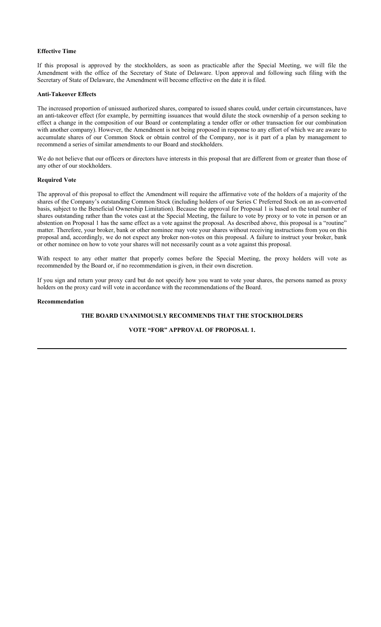#### **Effective Time**

If this proposal is approved by the stockholders, as soon as practicable after the Special Meeting, we will file the Amendment with the office of the Secretary of State of Delaware. Upon approval and following such filing with the Secretary of State of Delaware, the Amendment will become effective on the date it is filed.

#### **Anti-Takeover Effects**

The increased proportion of unissued authorized shares, compared to issued shares could, under certain circumstances, have an anti-takeover effect (for example, by permitting issuances that would dilute the stock ownership of a person seeking to effect a change in the composition of our Board or contemplating a tender offer or other transaction for our combination with another company). However, the Amendment is not being proposed in response to any effort of which we are aware to accumulate shares of our Common Stock or obtain control of the Company, nor is it part of a plan by management to recommend a series of similar amendments to our Board and stockholders.

We do not believe that our officers or directors have interests in this proposal that are different from or greater than those of any other of our stockholders.

#### **Required Vote**

The approval of this proposal to effect the Amendment will require the affirmative vote of the holders of a majority of the shares of the Company's outstanding Common Stock (including holders of our Series C Preferred Stock on an as-converted basis, subject to the Beneficial Ownership Limitation). Because the approval for Proposal 1 is based on the total number of shares outstanding rather than the votes cast at the Special Meeting, the failure to vote by proxy or to vote in person or an abstention on Proposal 1 has the same effect as a vote against the proposal. As described above, this proposal is a "routine" matter. Therefore, your broker, bank or other nominee may vote your shares without receiving instructions from you on this proposal and, accordingly, we do not expect any broker non-votes on this proposal. A failure to instruct your broker, bank or other nominee on how to vote your shares will not necessarily count as a vote against this proposal.

With respect to any other matter that properly comes before the Special Meeting, the proxy holders will vote as recommended by the Board or, if no recommendation is given, in their own discretion.

If you sign and return your proxy card but do not specify how you want to vote your shares, the persons named as proxy holders on the proxy card will vote in accordance with the recommendations of the Board.

#### **Recommendation**

### **THE BOARD UNANIMOUSLY RECOMMENDS THAT THE STOCKHOLDERS**

#### **VOTE "FOR" APPROVAL OF PROPOSAL 1.**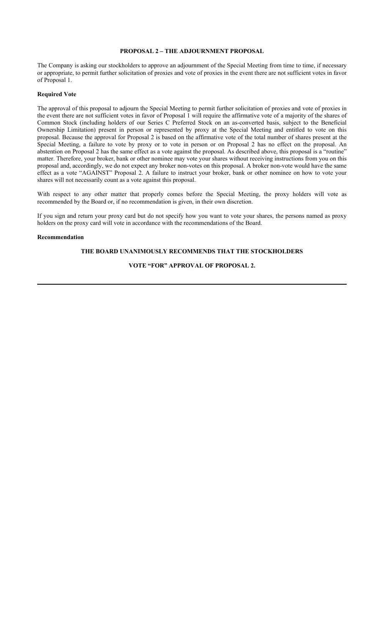#### **PROPOSAL 2 – THE ADJOURNMENT PROPOSAL**

The Company is asking our stockholders to approve an adjournment of the Special Meeting from time to time, if necessary or appropriate, to permit further solicitation of proxies and vote of proxies in the event there are not sufficient votes in favor of Proposal 1.

#### **Required Vote**

The approval of this proposal to adjourn the Special Meeting to permit further solicitation of proxies and vote of proxies in the event there are not sufficient votes in favor of Proposal 1 will require the affirmative vote of a majority of the shares of Common Stock (including holders of our Series C Preferred Stock on an as-converted basis, subject to the Beneficial Ownership Limitation) present in person or represented by proxy at the Special Meeting and entitled to vote on this proposal. Because the approval for Proposal 2 is based on the affirmative vote of the total number of shares present at the Special Meeting, a failure to vote by proxy or to vote in person or on Proposal 2 has no effect on the proposal. An abstention on Proposal 2 has the same effect as a vote against the proposal. As described above, this proposal is a "routine" matter. Therefore, your broker, bank or other nominee may vote your shares without receiving instructions from you on this proposal and, accordingly, we do not expect any broker non-votes on this proposal. A broker non-vote would have the same effect as a vote "AGAINST" Proposal 2. A failure to instruct your broker, bank or other nominee on how to vote your shares will not necessarily count as a vote against this proposal.

With respect to any other matter that properly comes before the Special Meeting, the proxy holders will vote as recommended by the Board or, if no recommendation is given, in their own discretion.

If you sign and return your proxy card but do not specify how you want to vote your shares, the persons named as proxy holders on the proxy card will vote in accordance with the recommendations of the Board.

#### **Recommendation**

#### **THE BOARD UNANIMOUSLY RECOMMENDS THAT THE STOCKHOLDERS**

#### **VOTE "FOR" APPROVAL OF PROPOSAL 2.**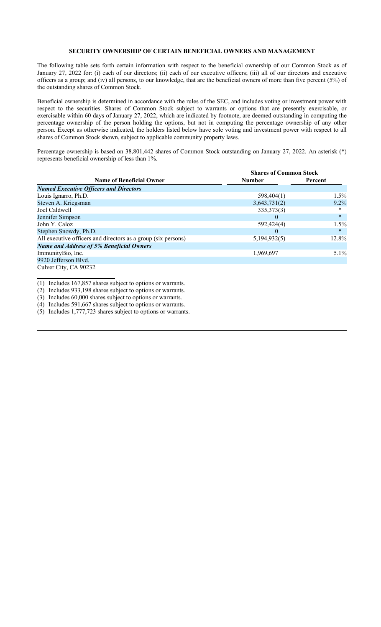#### **SECURITY OWNERSHIP OF CERTAIN BENEFICIAL OWNERS AND MANAGEMENT**

The following table sets forth certain information with respect to the beneficial ownership of our Common Stock as of January 27, 2022 for: (i) each of our directors; (ii) each of our executive officers; (iii) all of our directors and executive officers as a group; and (iv) all persons, to our knowledge, that are the beneficial owners of more than five percent (5%) of the outstanding shares of Common Stock.

Beneficial ownership is determined in accordance with the rules of the SEC, and includes voting or investment power with respect to the securities. Shares of Common Stock subject to warrants or options that are presently exercisable, or exercisable within 60 days of January 27, 2022, which are indicated by footnote, are deemed outstanding in computing the percentage ownership of the person holding the options, but not in computing the percentage ownership of any other person. Except as otherwise indicated, the holders listed below have sole voting and investment power with respect to all shares of Common Stock shown, subject to applicable community property laws.

Percentage ownership is based on 38,801,442 shares of Common Stock outstanding on January 27, 2022. An asterisk (\*) represents beneficial ownership of less than 1%.

| <b>Name of Beneficial Owner</b>                               |               | <b>Shares of Common Stock</b> |  |
|---------------------------------------------------------------|---------------|-------------------------------|--|
|                                                               | <b>Number</b> | Percent                       |  |
| <b>Named Executive Officers and Directors</b>                 |               |                               |  |
| Louis Ignarro, Ph.D.                                          | 598,404(1)    | $1.5\%$                       |  |
| Steven A. Kriegsman                                           | 3,643,731(2)  | $9.2\%$                       |  |
| Joel Caldwell                                                 | 335, 373(3)   | ∗                             |  |
| Jennifer Simpson                                              | $\theta$      | $\ast$                        |  |
| John Y. Caloz                                                 | 592,424(4)    | $1.5\%$                       |  |
| Stephen Snowdy, Ph.D.                                         | $\theta$      | $*$                           |  |
| All executive officers and directors as a group (six persons) | 5,194,932(5)  | 12.8%                         |  |
| <b>Name and Address of 5% Beneficial Owners</b>               |               |                               |  |
| ImmunityBio, Inc.                                             | 1,969,697     | $5.1\%$                       |  |
| 9920 Jefferson Blvd.                                          |               |                               |  |
| Culver City, CA 90232                                         |               |                               |  |

(1) Includes 167,857 shares subject to options or warrants.

(2) Includes 933,198 shares subject to options or warrants.

(3) Includes 60,000 shares subject to options or warrants.

(4) Includes 591,667 shares subject to options or warrants.

(5) Includes 1,777,723 shares subject to options or warrants.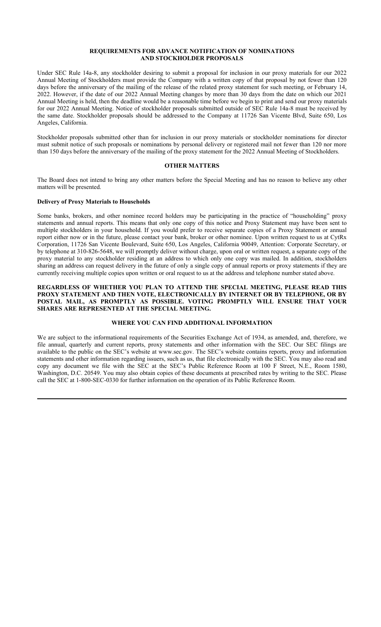#### **REQUIREMENTS FOR ADVANCE NOTIFICATION OF NOMINATIONS AND STOCKHOLDER PROPOSALS**

Under SEC Rule 14a-8, any stockholder desiring to submit a proposal for inclusion in our proxy materials for our 2022 Annual Meeting of Stockholders must provide the Company with a written copy of that proposal by not fewer than 120 days before the anniversary of the mailing of the release of the related proxy statement for such meeting, or February 14, 2022. However, if the date of our 2022 Annual Meeting changes by more than 30 days from the date on which our 2021 Annual Meeting is held, then the deadline would be a reasonable time before we begin to print and send our proxy materials for our 2022 Annual Meeting. Notice of stockholder proposals submitted outside of SEC Rule 14a-8 must be received by the same date. Stockholder proposals should be addressed to the Company at 11726 San Vicente Blvd, Suite 650, Los Angeles, California.

Stockholder proposals submitted other than for inclusion in our proxy materials or stockholder nominations for director must submit notice of such proposals or nominations by personal delivery or registered mail not fewer than 120 nor more than 150 days before the anniversary of the mailing of the proxy statement for the 2022 Annual Meeting of Stockholders.

#### **OTHER MATTERS**

The Board does not intend to bring any other matters before the Special Meeting and has no reason to believe any other matters will be presented.

#### **Delivery of Proxy Materials to Households**

Some banks, brokers, and other nominee record holders may be participating in the practice of "householding" proxy statements and annual reports. This means that only one copy of this notice and Proxy Statement may have been sent to multiple stockholders in your household. If you would prefer to receive separate copies of a Proxy Statement or annual report either now or in the future, please contact your bank, broker or other nominee. Upon written request to us at CytRx Corporation, 11726 San Vicente Boulevard, Suite 650, Los Angeles, California 90049, Attention: Corporate Secretary, or by telephone at 310-826-5648, we will promptly deliver without charge, upon oral or written request, a separate copy of the proxy material to any stockholder residing at an address to which only one copy was mailed. In addition, stockholders sharing an address can request delivery in the future of only a single copy of annual reports or proxy statements if they are currently receiving multiple copies upon written or oral request to us at the address and telephone number stated above.

#### **REGARDLESS OF WHETHER YOU PLAN TO ATTEND THE SPECIAL MEETING, PLEASE READ THIS PROXY STATEMENT AND THEN VOTE, ELECTRONICALLY BY INTERNET OR BY TELEPHONE, OR BY POSTAL MAIL, AS PROMPTLY AS POSSIBLE. VOTING PROMPTLY WILL ENSURE THAT YOUR SHARES ARE REPRESENTED AT THE SPECIAL MEETING.**

#### **WHERE YOU CAN FIND ADDITIONAL INFORMATION**

We are subject to the informational requirements of the Securities Exchange Act of 1934, as amended, and, therefore, we file annual, quarterly and current reports, proxy statements and other information with the SEC. Our SEC filings are available to the public on the SEC's website at www.sec.gov. The SEC's website contains reports, proxy and information statements and other information regarding issuers, such as us, that file electronically with the SEC. You may also read and copy any document we file with the SEC at the SEC's Public Reference Room at 100 F Street, N.E., Room 1580, Washington, D.C. 20549. You may also obtain copies of these documents at prescribed rates by writing to the SEC. Please call the SEC at 1-800-SEC-0330 for further information on the operation of its Public Reference Room.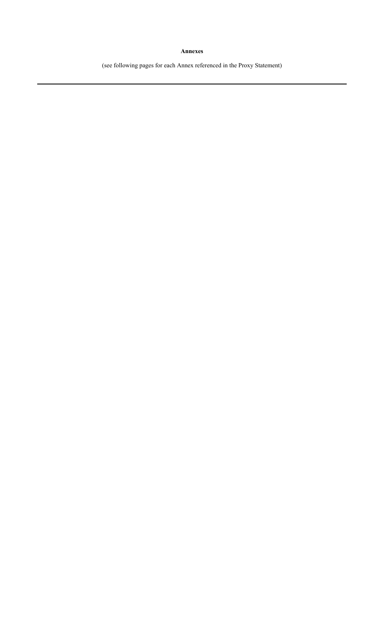### **Annexes**

(see following pages for each Annex referenced in the Proxy Statement)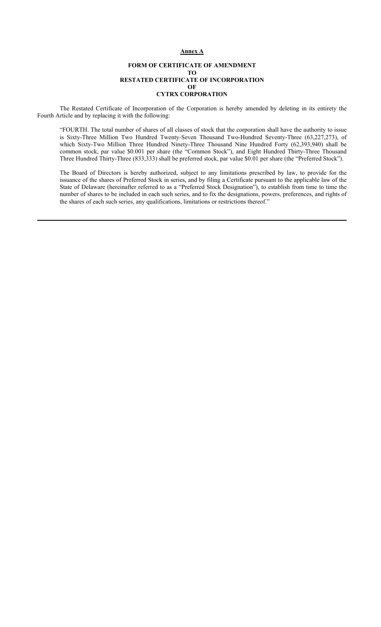#### **Annex A**

#### **FORM OF CERTIFICATE OF AMENDMENT TO RESTATED CERTIFICATE OF INCORPORATION OF CYTRX CORPORATION**

The Restated Certificate of Incorporation of the Corporation is hereby amended by deleting in its entirety the Fourth Article and by replacing it with the following:

"FOURTH. The total number of shares of all classes of stock that the corporation shall have the authority to issue is Sixty-Three Million Two Hundred Twenty-Seven Thousand Two-Hundred Seventy-Three (63,227,273), of which Sixty-Two Million Three Hundred Ninety-Three Thousand Nine Hundred Forty (62,393,940) shall be common stock, par value \$0.001 per share (the "Common Stock"), and Eight Hundred Thirty-Three Thousand Three Hundred Thirty-Three (833,333) shall be preferred stock, par value \$0.01 per share (the "Preferred Stock").

The Board of Directors is hereby authorized, subject to any limitations prescribed by law, to provide for the issuance of the shares of Preferred Stock in series, and by filing a Certificate pursuant to the applicable law of the State of Delaware (hereinafter referred to as a "Preferred Stock Designation"), to establish from time to time the number of shares to be included in each such series, and to fix the designations, powers, preferences, and rights of the shares of each such series, any qualifications, limitations or restrictions thereof."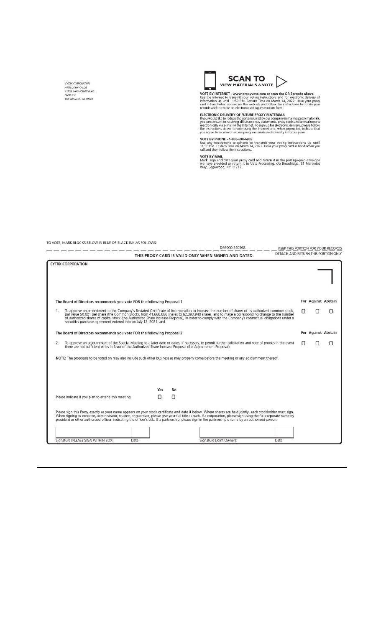CYTRX CORPORATION<br>ATTN: JOHN CALOZ<br>11726 SAN VICENTE BLVD.<br>SUITE 650<br>LOS ANGELES, CA 90049



VOTE BY INTERNET - www.proxyvote.com or scan the QR Barcode above<br>Use the Internet to transmit your voting instructions and for electronic delivery of<br>information up until 11:59 P.M. Eastern Time on March 14, 2022. Have yo

**ELECTRONIC DELIVERY OF FUTURE PROXY MATERIALS**<br> **ELECTRONIC DELIVERY OF FUTURE PROXY MATERIALS**<br>
If you would like to reduce the costs incurred by our company in mailing proxy materials,<br>
you can consent to receiving all

VOTE BY PHONE - 1-800-690-6903<br>Use any touch-tone telephone to transmit your voting instructions up until<br>11:59 PM. Eastern Time on March 14, 2022. Have your proxy card in hand when you<br>call and then follow the instruction

VOTE BY MAIL<br>Mark, sign and date your proxy card and return it in the postage-paid envelope<br>we have provided or return it to Vote Processing, c/o Broadridge, 51 Mercedes<br>Way, Edgewood, NY 11717.

| KEEP THIS PORTION FOR YOUR RECORDS<br>DETACH AND RETURN THIS PORTION ONLY                                                                                                                                                                                                                                                                                                                                                                                                                    |                     |   |
|----------------------------------------------------------------------------------------------------------------------------------------------------------------------------------------------------------------------------------------------------------------------------------------------------------------------------------------------------------------------------------------------------------------------------------------------------------------------------------------------|---------------------|---|
|                                                                                                                                                                                                                                                                                                                                                                                                                                                                                              |                     |   |
|                                                                                                                                                                                                                                                                                                                                                                                                                                                                                              |                     |   |
|                                                                                                                                                                                                                                                                                                                                                                                                                                                                                              |                     |   |
|                                                                                                                                                                                                                                                                                                                                                                                                                                                                                              |                     |   |
|                                                                                                                                                                                                                                                                                                                                                                                                                                                                                              | For Against Abstain |   |
| To approve an amendment to the Company's Restated Certificate of Incorporation to increase the number of shares of its authorized common stock,<br>par value \$0,001 per share (the Common Stock), from 41,666,666 shares to 62,393,940 shares, and to make a corresponding change to the number<br>of authorized shares of capital stock (the Authorized Share Increase Proposal), in order to comply with the Company's contractual obligations under a                                    | n                   | U |
|                                                                                                                                                                                                                                                                                                                                                                                                                                                                                              | For Against Abstain |   |
| To approve an adjournment of the Special Meeting to a later date or dates, if necessary, to permit further solicitation and vote of proxies in the event                                                                                                                                                                                                                                                                                                                                     | н                   | O |
| NOTE: The proposals to be voted on may also include such other business as may properly come before the meeting or any adjournment thereof.                                                                                                                                                                                                                                                                                                                                                  |                     |   |
|                                                                                                                                                                                                                                                                                                                                                                                                                                                                                              |                     |   |
|                                                                                                                                                                                                                                                                                                                                                                                                                                                                                              |                     |   |
|                                                                                                                                                                                                                                                                                                                                                                                                                                                                                              |                     |   |
|                                                                                                                                                                                                                                                                                                                                                                                                                                                                                              |                     |   |
|                                                                                                                                                                                                                                                                                                                                                                                                                                                                                              |                     |   |
| Please sign this Proxy exactly as your name appears on your stock certificate and date it below. Where shares are held jointly, each stockholder must sign.<br>When signing as executor, administrator, trustee, or guardian, please give your full title as such. If a corporation, please sign using the full corporate name by<br>president or other authorized officer, indicating the officer's title. If a partnership, please sign in the partnership's name by an authorized person. |                     |   |
|                                                                                                                                                                                                                                                                                                                                                                                                                                                                                              |                     |   |
| Date                                                                                                                                                                                                                                                                                                                                                                                                                                                                                         |                     |   |
|                                                                                                                                                                                                                                                                                                                                                                                                                                                                                              |                     |   |